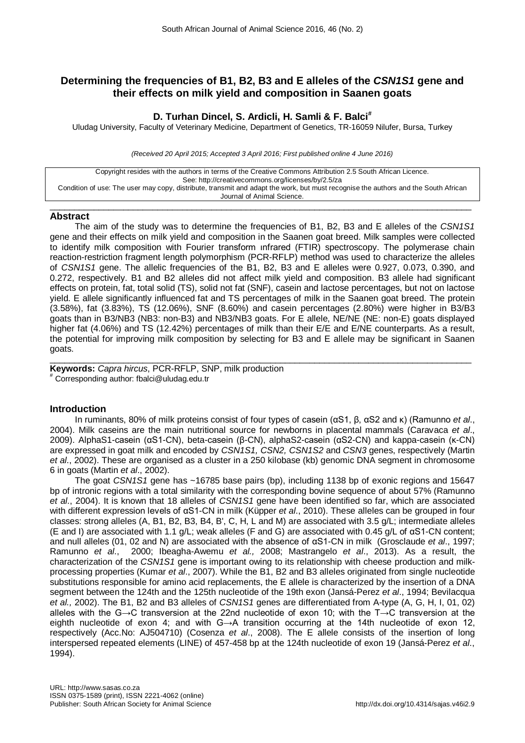# **Determining the frequencies of B1, B2, B3 and E alleles of the** *CSN1S1* **gene and their effects on milk yield and composition in Saanen goats**

# **D. Turhan Dincel, S. Ardicli, H. Samli & F. Balci#**

Uludag University, Faculty of Veterinary Medicine, Department of Genetics, TR-16059 Nilufer, Bursa, Turkey

*(Received 20 April 2015; Accepted 3 April 2016; First published online 4 June 2016)*

Copyright resides with the authors in terms of the Creative Commons Attribution 2.5 South African Licence. See: http://creativecommons.org/licenses/by/2.5/za Condition of use: The user may copy, distribute, transmit and adapt the work, but must recognise the authors and the South African Journal of Animal Science.

### $\_$  ,  $\_$  ,  $\_$  ,  $\_$  ,  $\_$  ,  $\_$  ,  $\_$  ,  $\_$  ,  $\_$  ,  $\_$  ,  $\_$  ,  $\_$  ,  $\_$  ,  $\_$  ,  $\_$  ,  $\_$  ,  $\_$  ,  $\_$  ,  $\_$  ,  $\_$  ,  $\_$  ,  $\_$  ,  $\_$  ,  $\_$  ,  $\_$  ,  $\_$  ,  $\_$  ,  $\_$  ,  $\_$  ,  $\_$  ,  $\_$  ,  $\_$  ,  $\_$  ,  $\_$  ,  $\_$  ,  $\_$  ,  $\_$  , **Abstract**

The aim of the study was to determine the frequencies of B1, B2, B3 and E alleles of the *CSN1S1* gene and their effects on milk yield and composition in the Saanen goat breed. Milk samples were collected to identify milk composition with Fourier transform ınfrared (FTIR) spectroscopy. The polymerase chain reaction-restriction fragment length polymorphism (PCR-RFLP) method was used to characterize the alleles of *CSN1S1* gene. The allelic frequencies of the B1, B2, B3 and E alleles were 0.927, 0.073, 0.390, and 0.272, respectively. B1 and B2 alleles did not affect milk yield and composition. B3 allele had significant effects on protein, fat, total solid (TS), solid not fat (SNF), casein and lactose percentages, but not on lactose yield. E allele significantly influenced fat and TS percentages of milk in the Saanen goat breed. The protein (3.58%), fat (3.83%), TS (12.06%), SNF (8.60%) and casein percentages (2.80%) were higher in B3/B3 goats than in B3/NB3 (NB3: non-B3) and NB3/NB3 goats. For E allele, NE/NE (NE: non-E) goats displayed higher fat (4.06%) and TS (12.42%) percentages of milk than their E/E and E/NE counterparts. As a result, the potential for improving milk composition by selecting for B3 and E allele may be significant in Saanen goats.

 $\_$  . The contribution of the contribution of the contribution of the contribution of the contribution of the contribution of the contribution of the contribution of the contribution of the contribution of the contributio **Keywords:** *Capra hircus*, PCR-RFLP, SNP, milk production # Corresponding author: fbalci@uludag.edu.tr

## **Introduction**

In ruminants, 80% of milk proteins consist of four types of casein (αS1, β, αS2 and κ) (Ramunno *et al*., 2004). Milk caseins are the main nutritional source for newborns in placental mammals (Caravaca *et al*., 2009). AlphaS1-casein (αS1-CN), beta-casein (β-CN), alphaS2-casein (αS2-CN) and kappa-casein (κ-CN) are expressed in goat milk and encoded by *CSN1S1, CSN2, CSN1S2* and *CSN3* genes, respectively (Martin *et al*., 2002). These are organised as a cluster in a 250 kilobase (kb) genomic DNA segment in chromosome 6 in goats (Martin *et al*., 2002).

The goat *CSN1S1* gene has ~16785 base pairs (bp), including 1138 bp of exonic regions and 15647 bp of intronic regions with a total similarity with the corresponding bovine sequence of about 57% (Ramunno *et al*., 2004). It is known that 18 alleles of *CSN1S1* gene have been identified so far, which are associated with different expression levels of αS1-CN in milk (Küpper *et al*., 2010). These alleles can be grouped in four classes: strong alleles (A, B1, B2, B3, B4, B', C, H, L and M) are associated with 3.5 g/L; intermediate alleles (E and I) are associated with 1.1 g/L; weak alleles (F and G) are associated with 0.45 g/L of αS1-CN content; and null alleles (01, 02 and N) are associated with the absence of αS1-CN in milk (Grosclaude *et al*., 1997; Ramunno *et al*., 2000; Ibeagha-Awemu *et al.,* 2008; Mastrangelo *et al*., 2013). As a result, the characterization of the *CSN1S1* gene is important owing to its relationship with cheese production and milkprocessing properties (Kumar *et al*., 2007). While the B1, B2 and B3 alleles originated from single nucleotide substitutions responsible for amino acid replacements, the E allele is characterized by the insertion of a DNA segment between the 124th and the 125th nucleotide of the 19th exon (Jansá-Perez *et al*., 1994; Bevilacqua *et al.,* 2002). The B1, B2 and B3 alleles of *CSN1S1* genes are differentiated from A-type (A, G, H, I, 01, 02) alleles with the G→C transversion at the 22nd nucleotide of exon 10; with the T→C transversion at the eighth nucleotide of exon 4; and with G→A transition occurring at the 14th nucleotide of exon 12, respectively (Acc.No: AJ504710) (Cosenza *et al*., 2008). The E allele consists of the insertion of long interspersed repeated elements (LINE) of 457-458 bp at the 124th nucleotide of exon 19 (Jansá-Perez *et al*., 1994).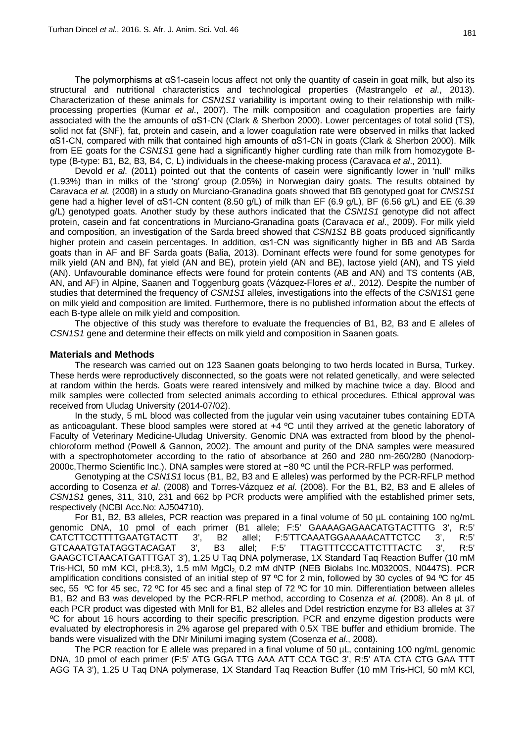The polymorphisms at αS1-casein locus affect not only the quantity of casein in goat milk, but also its structural and nutritional characteristics and technological properties (Mastrangelo *et al*., 2013). Characterization of these animals for *CSN1S1* variability is important owing to their relationship with milkprocessing properties (Kumar *et al*., 2007). The milk composition and coagulation properties are fairly associated with the the amounts of αS1-CN (Clark & Sherbon 2000). Lower percentages of total solid (TS), solid not fat (SNF), fat, protein and casein, and a lower coagulation rate were observed in milks that lacked αS1-CN, compared with milk that contained high amounts of αS1-CN in goats (Clark & Sherbon 2000). Milk from EE goats for the *CSN1S1* gene had a significantly higher curdling rate than milk from homozygote Btype (B-type: B1, B2, B3, B4, C, L) individuals in the cheese-making process (Caravaca *et al*., 2011).

Devold *et al*. (2011) pointed out that the contents of casein were significantly lower in 'null' milks (1.93%) than in milks of the 'strong' group (2.05%) in Norwegian dairy goats. The results obtained by Caravaca *et al.* (2008) in a study on Murciano-Granadina goats showed that BB genotyped goat for *CNS1S1*  gene had a higher level of αS1-CN content (8.50 g/L) of milk than EF (6.9 g/L), BF (6.56 g/L) and EE (6.39 g/L) genotyped goats. Another study by these authors indicated that the *CSN1S1* genotype did not affect protein, casein and fat concentrations in Murciano-Granadina goats (Caravaca *et al*., 2009). For milk yield and composition, an investigation of the Sarda breed showed that *CSN1S1* BB goats produced significantly higher protein and casein percentages. In addition, αs1-CN was significantly higher in BB and AB Sarda goats than in AF and BF Sarda goats (Balia, 2013). Dominant effects were found for some genotypes for milk yield (AN and BN), fat yield (AN and BE), protein yield (AN and BE), lactose yield (AN), and TS yield (AN). Unfavourable dominance effects were found for protein contents (AB and AN) and TS contents (AB, AN, and AF) in Alpine, Saanen and Toggenburg goats (Vázquez-Flores *et al*., 2012). Despite the number of studies that determined the frequency of *CSN1S1* alleles, investigations into the effects of the *CSN1S1* gene on milk yield and composition are limited. Furthermore, there is no published information about the effects of each B-type allele on milk yield and composition.

The objective of this study was therefore to evaluate the frequencies of B1, B2, B3 and E alleles of *CSN1S1* gene and determine their effects on milk yield and composition in Saanen goats.

### **Materials and Methods**

The research was carried out on 123 Saanen goats belonging to two herds located in Bursa, Turkey. These herds were reproductively disconnected, so the goats were not related genetically, and were selected at random within the herds. Goats were reared intensively and milked by machine twice a day. Blood and milk samples were collected from selected animals according to ethical procedures. Ethical approval was received from Uludag University (2014-07/02).

In the study, 5 mL blood was collected from the jugular vein using vacutainer tubes containing EDTA as anticoagulant. These blood samples were stored at +4 ºC until they arrived at the genetic laboratory of Faculty of Veterinary Medicine-Uludag University. Genomic DNA was extracted from blood by the phenolchloroform method (Powell & Gannon, 2002). The amount and purity of the DNA samples were measured with a spectrophotometer according to the ratio of absorbance at 260 and 280 nm-260/280 (Nanodorp-2000c,Thermo Scientific Inc.). DNA samples were stored at −80 ºC until the PCR-RFLP was performed.

Genotyping at the *CSN1S1* locus (B1, B2, B3 and E alleles) was performed by the PCR-RFLP method according to Cosenza *et al*. (2008) and Torres-Vázquez *et al*. (2008). For the B1, B2, B3 and E alleles of *CSN1S1* genes, 311, 310, 231 and 662 bp PCR products were amplified with the established primer sets, respectively (NCBI Acc.No: AJ504710).

For B1, B2, B3 alleles, PCR reaction was prepared in a final volume of 50 µL containing 100 ng/mL genomic DNA, 10 pmol of each primer (B1 allele; F:5' GAAAAGAGAACATGTACTTTG 3', R:5'<br>CATCTTCCTTTTGAATGTACTT 3', B2 allel: F:5'TTCAAATGGAAAAACATTCTCC 3', R:5' B2 allel: F:5'TTCAAATGGAAAAACATTCTCC 3', R:5' GTCAAATGTATAGGTACAGAT 3', B3 allel; F:5' TTAGTTTCCCATTCTTTACTC 3', R:5' GAAGCTCTAACATGATTTGAT 3'), 1.25 U Taq DNA polymerase, 1X Standard Taq Reaction Buffer (10 mM Tris-HCl, 50 mM KCl, pH:8,3), 1.5 mM  $MqCl<sub>2</sub>$  0.2 mM dNTP (NEB Biolabs Inc.M03200S, N0447S). PCR amplification conditions consisted of an initial step of 97 °C for 2 min, followed by 30 cycles of 94 °C for 45 sec, 55 ºC for 45 sec, 72 ºC for 45 sec and a final step of 72 ºC for 10 min. Differentiation between alleles B1, B2 and B3 was developed by the PCR-RFLP method, according to Cosenza *et al*. (2008). An 8 µL of each PCR product was digested with MnlI for B1, B2 alleles and DdeI restriction enzyme for B3 alleles at 37 ºC for about 16 hours according to their specific prescription. PCR and enzyme digestion products were evaluated by electrophoresis in 2% agarose gel prepared with 0.5X TBE buffer and ethidium bromide. The bands were visualized with the DNr Minilumi imaging system (Cosenza *et al*., 2008).

The PCR reaction for E allele was prepared in a final volume of 50 µL, containing 100 ng/mL genomic DNA, 10 pmol of each primer (F:5' ATG GGA TTG AAA ATT CCA TGC 3', R:5' ATA CTA CTG GAA TTT AGG TA 3'), 1.25 U Taq DNA polymerase, 1X Standard Taq Reaction Buffer (10 mM Tris-HCl, 50 mM KCl,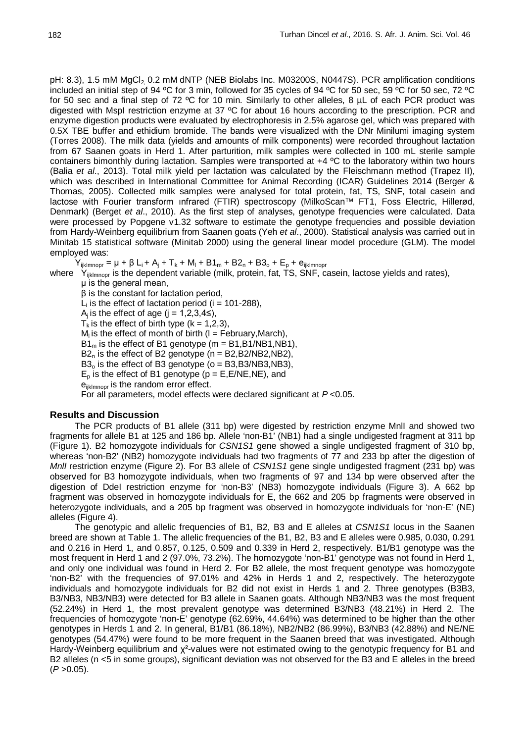pH: 8.3), 1.5 mM MgCl<sub>2</sub> 0.2 mM dNTP (NEB Biolabs Inc. M03200S, N0447S). PCR amplification conditions included an initial step of 94 ºC for 3 min, followed for 35 cycles of 94 ºC for 50 sec, 59 ºC for 50 sec, 72 ºC for 50 sec and a final step of 72 ºC for 10 min. Similarly to other alleles, 8 µL of each PCR product was digested with MspI restriction enzyme at 37 °C for about 16 hours according to the prescription. PCR and enzyme digestion products were evaluated by electrophoresis in 2.5% agarose gel, which was prepared with 0.5X TBE buffer and ethidium bromide. The bands were visualized with the DNr Minilumi imaging system (Torres 2008). The milk data (yields and amounts of milk components) were recorded throughout lactation from 67 Saanen goats in Herd 1. After parturition, milk samples were collected in 100 mL sterile sample containers bimonthly during lactation. Samples were transported at +4 ºC to the laboratory within two hours (Balia *et al*., 2013). Total milk yield per lactation was calculated by the Fleischmann method (Trapez II), which was described in International Committee for Animal Recording (ICAR) Guidelines 2014 (Berger & Thomas, 2005). Collected milk samples were analysed for total protein, fat, TS, SNF, total casein and lactose with Fourier transform ınfrared (FTIR) spectroscopy (MilkoScan™ FT1, Foss Electric, Hillerød, Denmark) (Berget *et al*., 2010). As the first step of analyses, genotype frequencies were calculated. Data were processed by Popgene v1.32 software to estimate the genotype frequencies and possible deviation from Hardy-Weinberg equilibrium from Saanen goats (Yeh *et al*., 2000). Statistical analysis was carried out in Minitab 15 statistical software (Minitab 2000) using the general linear model procedure (GLM). The model employed was:

 $Y_{ijklmonpr} = μ + β L_i + A_j + T_k + M_l + B1_m + B2_n + B3_o + E_p + e_{ijklmonpr}$ 

where  $Y_{ijklmnop}$  is the dependent variable (milk, protein, fat, TS, SNF, casein, lactose yields and rates),

μ is the general mean,

β is the constant for lactation period,

 $L_i$  is the effect of lactation period (i = 101-288),

A<sub>i</sub> is the effect of age (j = 1,2,3,4≤),

 $T_k$  is the effect of birth type ( $k = 1,2,3$ ),

 $M<sub>l</sub>$  is the effect of month of birth (I = February, March),

 $B1<sub>m</sub>$  is the effect of B1 genotype (m = B1, B1/NB1, NB1).

 $B2_n$  is the effect of B2 genotype (n = B2, B2/NB2, NB2),

 $B3<sub>o</sub>$  is the effect of B3 genotype (o = B3, B3/NB3, NB3),

 $E_p$  is the effect of B1 genotype ( $p = E, E/NE, NE$ ), and

e<sub>ijklmnopr</sub> is the random error effect.

For all parameters, model effects were declared significant at *P* <0.05.

## **Results and Discussion**

The PCR products of B1 allele (311 bp) were digested by restriction enzyme MnlI and showed two fragments for allele B1 at 125 and 186 bp. Allele 'non-B1' (NB1) had a single undigested fragment at 311 bp (Figure 1). B2 homozygote individuals for *CSN1S1* gene showed a single undigested fragment of 310 bp, whereas 'non-B2' (NB2) homozygote individuals had two fragments of 77 and 233 bp after the digestion of *MnlI* restriction enzyme (Figure 2). For B3 allele of *CSN1S1* gene single undigested fragment (231 bp) was observed for B3 homozygote individuals, when two fragments of 97 and 134 bp were observed after the digestion of DdeI restriction enzyme for 'non-B3' (NB3) homozygote individuals (Figure 3). A 662 bp fragment was observed in homozygote individuals for E, the 662 and 205 bp fragments were observed in heterozygote individuals, and a 205 bp fragment was observed in homozygote individuals for 'non-E' (NE) alleles (Figure 4).

The genotypic and allelic frequencies of B1, B2, B3 and E alleles at *CSN1S1* locus in the Saanen breed are shown at Table 1. The allelic frequencies of the B1, B2, B3 and E alleles were 0.985, 0.030, 0.291 and 0.216 in Herd 1, and 0.857, 0.125, 0.509 and 0.339 in Herd 2, respectively. B1/B1 genotype was the most frequent in Herd 1 and 2 (97.0%, 73.2%). The homozygote 'non-B1' genotype was not found in Herd 1, and only one individual was found in Herd 2. For B2 allele, the most frequent genotype was homozygote 'non-B2' with the frequencies of 97.01% and 42% in Herds 1 and 2, respectively. The heterozygote individuals and homozygote individuals for B2 did not exist in Herds 1 and 2. Three genotypes (B3B3, B3/NB3, NB3/NB3) were detected for B3 allele in Saanen goats. Although NB3/NB3 was the most frequent (52.24%) in Herd 1, the most prevalent genotype was determined B3/NB3 (48.21%) in Herd 2. The frequencies of homozygote 'non-E' genotype (62.69%, 44.64%) was determined to be higher than the other genotypes in Herds 1 and 2. In general, B1/B1 (86.18%), NB2/NB2 (86.99%), B3/NB3 (42.88%) and NE/NE genotypes (54.47%) were found to be more frequent in the Saanen breed that was investigated. Although Hardy-Weinberg equilibrium and χ<sup>2</sup>-values were not estimated owing to the genotypic frequency for B1 and B2 alleles (n <5 in some groups), significant deviation was not observed for the B3 and E alleles in the breed  $(P > 0.05)$ .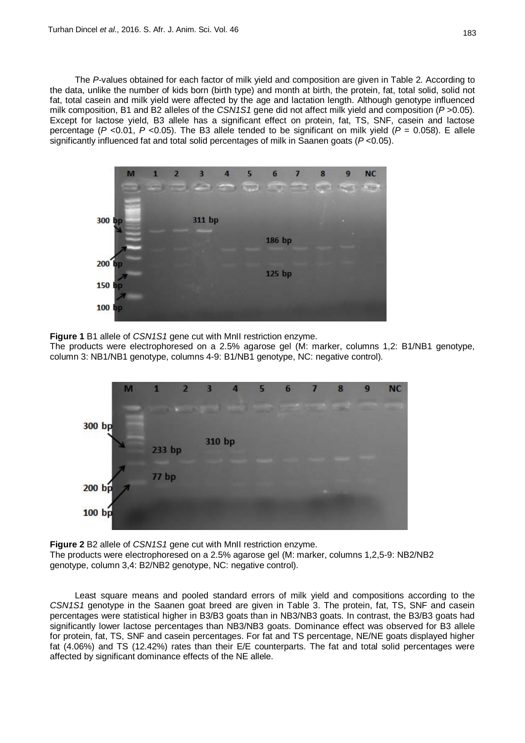The *P*-values obtained for each factor of milk yield and composition are given in Table 2. According to the data, unlike the number of kids born (birth type) and month at birth, the protein, fat, total solid, solid not fat, total casein and milk yield were affected by the age and lactation length. Although genotype influenced milk composition, B1 and B2 alleles of the *CSN1S1* gene did not affect milk yield and composition (*P* >0.05). Except for lactose yield, B3 allele has a significant effect on protein, fat, TS, SNF, casein and lactose percentage ( $P$  <0.01,  $P$  <0.05). The B3 allele tended to be significant on milk yield ( $P = 0.058$ ). E allele significantly influenced fat and total solid percentages of milk in Saanen goats (*P* <0.05).



**Figure 1** B1 allele of *CSN1S1* gene cut with MnII restriction enzyme.

The products were electrophoresed on a 2.5% agarose gel (M: marker, columns 1,2: B1/NB1 genotype, column 3: NB1/NB1 genotype, columns 4-9: B1/NB1 genotype, NC: negative control).



**Figure 2** B2 allele of *CSN1S1* gene cut with MnII restriction enzyme. The products were electrophoresed on a 2.5% agarose gel (M: marker, columns 1,2,5-9: NB2/NB2 genotype, column 3,4: B2/NB2 genotype, NC: negative control).

Least square means and pooled standard errors of milk yield and compositions according to the *CSN1S1* genotype in the Saanen goat breed are given in Table 3. The protein, fat, TS, SNF and casein percentages were statistical higher in B3/B3 goats than in NB3/NB3 goats. In contrast, the B3/B3 goats had significantly lower lactose percentages than NB3/NB3 goats. Dominance effect was observed for B3 allele for protein, fat, TS, SNF and casein percentages. For fat and TS percentage, NE/NE goats displayed higher fat (4.06%) and TS (12.42%) rates than their E/E counterparts. The fat and total solid percentages were affected by significant dominance effects of the NE allele.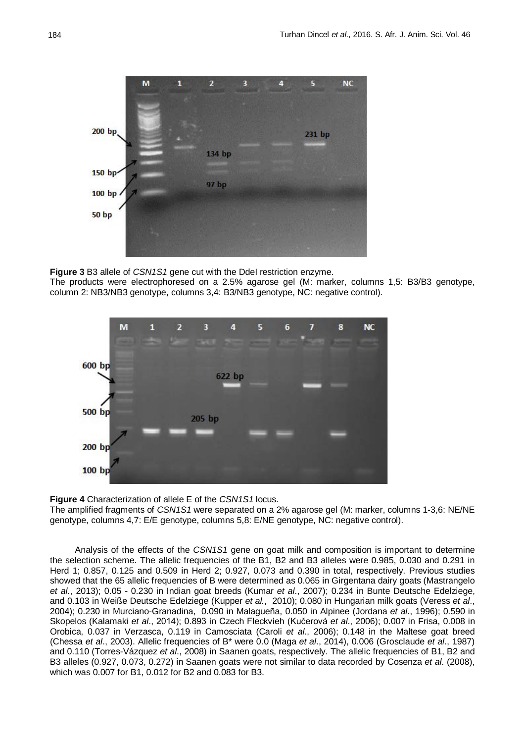

**Figure 3** B3 allele of *CSN1S1* gene cut with the DdeI restriction enzyme.

The products were electrophoresed on a 2.5% agarose gel (M: marker, columns 1,5: B3/B3 genotype, column 2: NB3/NB3 genotype, columns 3,4: B3/NB3 genotype, NC: negative control).



**Figure 4** Characterization of allele E of the *CSN1S1* locus. The amplified fragments of *CSN1S1* were separated on a 2% agarose gel (M: marker, columns 1-3,6: NE/NE genotype, columns 4,7: E/E genotype, columns 5,8: E/NE genotype, NC: negative control).

Analysis of the effects of the *CSN1S1* gene on goat milk and composition is important to determine the selection scheme. The allelic frequencies of the B1, B2 and B3 alleles were 0.985, 0.030 and 0.291 in Herd 1; 0.857, 0.125 and 0.509 in Herd 2; 0.927, 0.073 and 0.390 in total, respectively. Previous studies showed that the 65 allelic frequencies of B were determined as 0.065 in Girgentana dairy goats (Mastrangelo *et al.*, 2013); 0.05 - 0.230 in Indian goat breeds (Kumar *et al*., 2007); 0.234 in Bunte Deutsche Edelziege, and 0.103 in Weiße Deutsche Edelziege (Kupper *et al.*, 2010); 0.080 in Hungarian milk goats (Veress *et al*., 2004); 0.230 in Murciano-Granadina, 0.090 in Malagueña, 0.050 in Alpinee (Jordana *et al*., 1996); 0.590 in Skopelos (Kalamaki *et al*., 2014); 0.893 in Czech Fleckvieh (Kučerová *et al*., 2006); 0.007 in Frisa, 0.008 in Orobica, 0.037 in Verzasca, 0.119 in Camosciata (Caroli *et al*., 2006); 0.148 in the Maltese goat breed (Chessa *et al*., 2003). Allelic frequencies of B\* were 0.0 (Maga *et al*., 2014), 0.006 (Grosclaude *et al*., 1987) and 0.110 (Torres-Vázquez *et al*., 2008) in Saanen goats, respectively. The allelic frequencies of B1, B2 and B3 alleles (0.927, 0.073, 0.272) in Saanen goats were not similar to data recorded by Cosenza *et al*. (2008), which was 0.007 for B1, 0.012 for B2 and 0.083 for B3.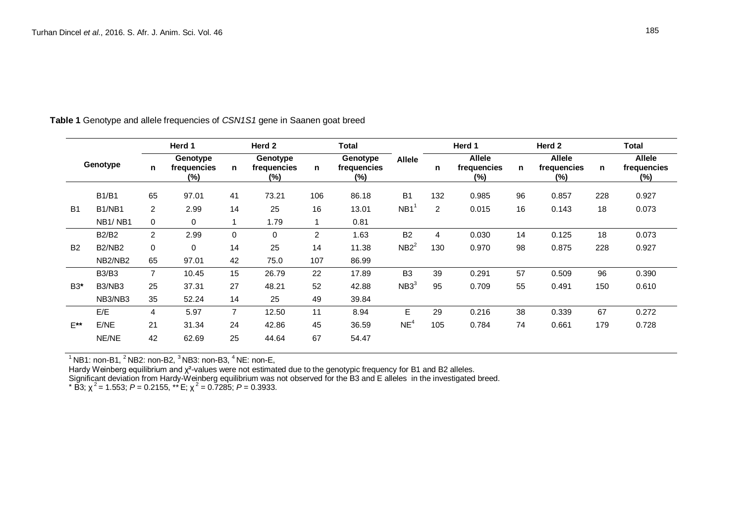| Genotype  |                                  | Herd 1         |                                |                | Herd 2                         |     | <b>Total</b>                      |                  | Herd 1         |                                     | Herd 2       |                                     | <b>Total</b> |                                        |
|-----------|----------------------------------|----------------|--------------------------------|----------------|--------------------------------|-----|-----------------------------------|------------------|----------------|-------------------------------------|--------------|-------------------------------------|--------------|----------------------------------------|
|           |                                  | n              | Genotype<br>frequencies<br>(%) | n              | Genotype<br>frequencies<br>(%) | n.  | Genotype<br>frequencies<br>$(\%)$ | <b>Allele</b>    | n              | <b>Allele</b><br>frequencies<br>(%) | $\mathsf{n}$ | <b>Allele</b><br>frequencies<br>(%) | n            | <b>Allele</b><br>frequencies<br>$(\%)$ |
|           | <b>B1/B1</b>                     | 65             | 97.01                          | 41             | 73.21                          | 106 | 86.18                             | <b>B1</b>        | 132            | 0.985                               | 96           | 0.857                               | 228          | 0.927                                  |
| <b>B1</b> | B <sub>1</sub> /N <sub>B1</sub>  | $\overline{2}$ | 2.99                           | 14             | 25                             | 16  | 13.01                             | NB <sub>1</sub>  | $\overline{2}$ | 0.015                               | 16           | 0.143                               | 18           | 0.073                                  |
|           | NB <sub>1</sub> /NB <sub>1</sub> | 0              | 0                              |                | 1.79                           |     | 0.81                              |                  |                |                                     |              |                                     |              |                                        |
|           | <b>B2/B2</b>                     | $\overline{2}$ | 2.99                           | $\Omega$       | $\mathbf 0$                    | 2   | 1.63                              | <b>B2</b>        | 4              | 0.030                               | 14           | 0.125                               | 18           | 0.073                                  |
| <b>B2</b> | <b>B2/NB2</b>                    | 0              | 0                              | 14             | 25                             | 14  | 11.38                             | $NB2^2$          | 130            | 0.970                               | 98           | 0.875                               | 228          | 0.927                                  |
|           | NB2/NB2                          | 65             | 97.01                          | 42             | 75.0                           | 107 | 86.99                             |                  |                |                                     |              |                                     |              |                                        |
|           | <b>B3/B3</b>                     | $\overline{7}$ | 10.45                          | 15             | 26.79                          | 22  | 17.89                             | B <sub>3</sub>   | 39             | 0.291                               | 57           | 0.509                               | 96           | 0.390                                  |
| B3*       | B3/NB3                           | 25             | 37.31                          | 27             | 48.21                          | 52  | 42.88                             | NB3 <sup>3</sup> | 95             | 0.709                               | 55           | 0.491                               | 150          | 0.610                                  |
|           | NB3/NB3                          | 35             | 52.24                          | 14             | 25                             | 49  | 39.84                             |                  |                |                                     |              |                                     |              |                                        |
|           | E/E                              | 4              | 5.97                           | $\overline{7}$ | 12.50                          | 11  | 8.94                              | Е                | 29             | 0.216                               | 38           | 0.339                               | 67           | 0.272                                  |
| $E^{**}$  | E/NE                             | 21             | 31.34                          | 24             | 42.86                          | 45  | 36.59                             | NE <sup>4</sup>  | 105            | 0.784                               | 74           | 0.661                               | 179          | 0.728                                  |
|           | NE/NE                            | 42             | 62.69                          | 25             | 44.64                          | 67  | 54.47                             |                  |                |                                     |              |                                     |              |                                        |

**Table 1** Genotype and allele frequencies of *CSN1S1* gene in Saanen goat breed

 $1^1$  NB1: non-B1,  $2^1$  NB2: non-B2,  $3^3$  NB3: non-B3,  $4^4$  NE: non-E,

Hardy Weinberg equilibrium and χ²-values were not estimated due to the genotypic frequency for B1 and B2 alleles. Significant deviation from Hardy-Weinberg equilibrium was not observed for the B3 and E alleles in the investigated breed.  $*$  B<sub>3</sub>;  $\chi^2$  = 1.553; *P* = 0.2155,  $**$  E;  $\chi^2$  = 0.7285; *P* = 0.3933.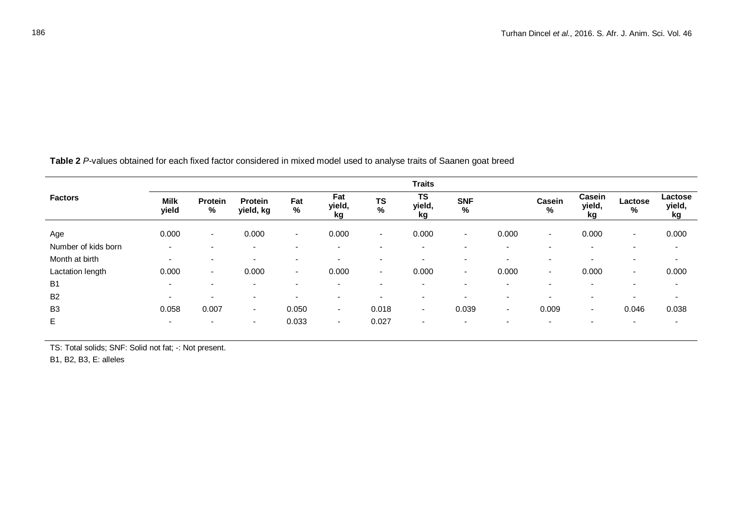|                     | <b>Traits</b>            |                          |                             |                          |                          |                          |                           |                          |                          |                          |                          |                          |                         |
|---------------------|--------------------------|--------------------------|-----------------------------|--------------------------|--------------------------|--------------------------|---------------------------|--------------------------|--------------------------|--------------------------|--------------------------|--------------------------|-------------------------|
| <b>Factors</b>      | <b>Milk</b><br>yield     | Protein<br>%             | <b>Protein</b><br>yield, kg | Fat<br>%                 | Fat<br>yield,<br>kg      | <b>TS</b><br>$\%$        | <b>TS</b><br>yield,<br>kg | <b>SNF</b><br>%          |                          | Casein<br>%              | Casein<br>yield,<br>kg   | Lactose<br>%             | Lactose<br>yield,<br>kg |
| Age                 | 0.000                    | $\sim$                   | 0.000                       | $\sim$                   | 0.000                    | $\sim$                   | 0.000                     |                          | 0.000                    | $\sim$                   | 0.000                    | $\blacksquare$           | 0.000                   |
| Number of kids born | $\overline{\phantom{0}}$ | $\blacksquare$           | $\overline{\phantom{0}}$    | $\overline{\phantom{a}}$ | $\overline{\phantom{a}}$ | $\overline{\phantom{0}}$ | $\overline{\phantom{0}}$  | $\overline{\phantom{0}}$ | $\overline{\phantom{0}}$ | $\overline{\phantom{a}}$ | $\overline{\phantom{a}}$ | $\overline{\phantom{0}}$ | ٠                       |
| Month at birth      | $\overline{\phantom{a}}$ | $\overline{\phantom{a}}$ | $\overline{a}$              | $\overline{\phantom{a}}$ | $\overline{\phantom{a}}$ | $\overline{\phantom{a}}$ | $\blacksquare$            | $\overline{\phantom{0}}$ | $\overline{\phantom{0}}$ | $\overline{\phantom{a}}$ | $\overline{\phantom{a}}$ | $\overline{\phantom{0}}$ | ٠                       |
| Lactation length    | 0.000                    | $\sim$                   | 0.000                       | $\sim$                   | 0.000                    | $\overline{\phantom{a}}$ | 0.000                     | ۰.                       | 0.000                    | $\sim$                   | 0.000                    | $\blacksquare$           | 0.000                   |
| B <sub>1</sub>      | $\blacksquare$           | $\overline{\phantom{0}}$ | $\blacksquare$              | $\overline{\phantom{a}}$ | $\sim$                   | $\overline{\phantom{0}}$ | $\blacksquare$            | $\overline{\phantom{0}}$ | $\overline{\phantom{a}}$ | $\overline{\phantom{a}}$ | $\overline{\phantom{a}}$ | $\overline{\phantom{0}}$ | $\blacksquare$          |
| B <sub>2</sub>      | $\overline{\phantom{0}}$ |                          | $\overline{\phantom{a}}$    | $\overline{\phantom{a}}$ | $\overline{\phantom{a}}$ |                          | $\blacksquare$            | $\overline{\phantom{0}}$ | $\overline{\phantom{a}}$ | $\overline{\phantom{a}}$ | $\overline{\phantom{a}}$ | $\overline{\phantom{0}}$ | $\blacksquare$          |
| B <sub>3</sub>      | 0.058                    | 0.007                    | $\overline{\phantom{a}}$    | 0.050                    | $\sim$                   | 0.018                    | $\sim$                    | 0.039                    | $\overline{\phantom{a}}$ | 0.009                    | $\sim$                   | 0.046                    | 0.038                   |
| E                   | $\blacksquare$           | $\blacksquare$           | $\overline{\phantom{a}}$    | 0.033                    | $\sim$                   | 0.027                    | $\overline{\phantom{a}}$  | ۰                        | $\overline{\phantom{0}}$ | $\overline{\phantom{a}}$ | $\blacksquare$           | $\overline{\phantom{0}}$ | ٠                       |

**Table 2** *P*-values obtained for each fixed factor considered in mixed model used to analyse traits of Saanen goat breed

TS: Total solids; SNF: Solid not fat; -: Not present.

B1, B2, B3, E: alleles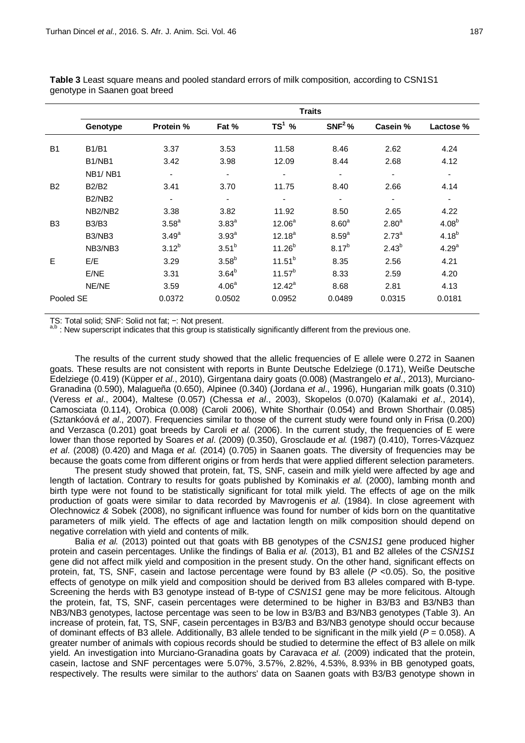|                | <b>Traits</b>                    |                          |                          |                          |                          |                   |                   |  |  |  |
|----------------|----------------------------------|--------------------------|--------------------------|--------------------------|--------------------------|-------------------|-------------------|--|--|--|
|                | Genotype                         | <b>Protein %</b>         | Fat %                    | $TS^1$ %                 | $SNF2$ %                 | Casein %          | Lactose %         |  |  |  |
| <b>B1</b>      | <b>B1/B1</b>                     | 3.37                     | 3.53                     | 11.58                    | 8.46                     | 2.62              | 4.24              |  |  |  |
|                | B <sub>1</sub> /N <sub>B1</sub>  | 3.42                     | 3.98                     | 12.09                    | 8.44                     | 2.68              | 4.12              |  |  |  |
|                | NB <sub>1</sub> /NB <sub>1</sub> | $\overline{\phantom{a}}$ | $\overline{\phantom{a}}$ | $\overline{\phantom{a}}$ | $\overline{\phantom{a}}$ | ٠                 | $\blacksquare$    |  |  |  |
| B <sub>2</sub> | <b>B2/B2</b>                     | 3.41                     | 3.70                     | 11.75                    | 8.40                     | 2.66              | 4.14              |  |  |  |
|                | B <sub>2</sub> /N <sub>B2</sub>  |                          |                          |                          |                          |                   |                   |  |  |  |
|                | NB2/NB2                          | 3.38                     | 3.82                     | 11.92                    | 8.50                     | 2.65              | 4.22              |  |  |  |
| B <sub>3</sub> | <b>B3/B3</b>                     | 3.58 <sup>a</sup>        | 3.83 <sup>a</sup>        | $12.06^a$                | 8.60 <sup>a</sup>        | 2.80 <sup>a</sup> | 4.08 <sup>b</sup> |  |  |  |
|                | B3/NB3                           | 3.49 <sup>a</sup>        | 3.93 <sup>a</sup>        | $12.18^{a}$              | 8.59 <sup>a</sup>        | $2.73^{a}$        | $4.18^{b}$        |  |  |  |
|                | NB3/NB3                          | $3.12^{b}$               | 3.51 <sup>b</sup>        | $11.26^{b}$              | $8.17^{b}$               | $2.43^{b}$        | 4.29 <sup>a</sup> |  |  |  |
| E              | E/E                              | 3.29                     | $3.58^{b}$               | $11.51^{b}$              | 8.35                     | 2.56              | 4.21              |  |  |  |
|                | E/NE                             | 3.31                     | $3.64^{b}$               | $11.57^{b}$              | 8.33                     | 2.59              | 4.20              |  |  |  |
|                | NE/NE                            | 3.59                     | 4.06 <sup>a</sup>        | $12.42^a$                | 8.68                     | 2.81              | 4.13              |  |  |  |
| Pooled SE      |                                  | 0.0372                   | 0.0502                   | 0.0952                   | 0.0489                   | 0.0315            | 0.0181            |  |  |  |

**Table 3** Least square means and pooled standard errors of milk composition*,* according to CSN1S1 genotype in Saanen goat breed

TS: Total solid; SNF: Solid not fat; −: Not present.<br>a,b : New superscript indicates that this group is statistically significantly different from the previous one.

The results of the current study showed that the allelic frequencies of E allele were 0.272 in Saanen goats. These results are not consistent with reports in Bunte Deutsche Edelziege (0.171), Weiße Deutsche Edelziege (0.419) (Küpper *et al*., 2010), Girgentana dairy goats (0.008) (Mastrangelo *et al*., 2013), Murciano-Granadina (0.590), Malagueña (0.650), Alpinee (0.340) (Jordana *et al*., 1996), Hungarian milk goats (0.310) (Veress *et al*., 2004), Maltese (0.057) (Chessa *et al*., 2003), Skopelos (0.070) (Kalamaki *et al*., 2014), Camosciata (0.114), Orobica (0.008) (Caroli 2006), White Shorthair (0.054) and Brown Shorthair (0.085) (Sztankóová *et al*., 2007). Frequencies similar to those of the current study were found only in Frisa (0.200) and Verzasca (0.201) goat breeds by Caroli *et al.* (2006). In the current study, the frequencies of E were lower than those reported by Soares *et al*. (2009) (0.350), Grosclaude *et al.* (1987) (0.410), Torres-Vázquez *et al*. (2008) (0.420) and Maga *et al.* (2014) (0.705) in Saanen goats. The diversity of frequencies may be because the goats come from different origins or from herds that were applied different selection parameters.

The present study showed that protein, fat, TS, SNF, casein and milk yield were affected by age and length of lactation. Contrary to results for goats published by Kominakis *et al.* (2000), lambing month and birth type were not found to be statistically significant for total milk yield. The effects of age on the milk production of goats were similar to data recorded by Mavrogenis *et al*. (1984). In close agreement with Olechnowicz *&* Sobek (2008), no significant influence was found for number of kids born on the quantitative parameters of milk yield. The effects of age and lactation length on milk composition should depend on negative correlation with yield and contents of milk.

Balia *et al.* (2013) pointed out that goats with BB genotypes of the *CSN1S1* gene produced higher protein and casein percentages. Unlike the findings of Balia *et al.* (2013), B1 and B2 alleles of the *CSN1S1* gene did not affect milk yield and composition in the present study. On the other hand, significant effects on protein, fat, TS, SNF, casein and lactose percentage were found by B3 allele (*P* <0.05). So, the positive effects of genotype on milk yield and composition should be derived from B3 alleles compared with B-type. Screening the herds with B3 genotype instead of B-type of *CSN1S1* gene may be more felicitous. Altough the protein, fat, TS, SNF, casein percentages were determined to be higher in B3/B3 and B3/NB3 than NB3/NB3 genotypes, lactose percentage was seen to be low in B3/B3 and B3/NB3 genotypes (Table 3). An increase of protein, fat, TS, SNF, casein percentages in B3/B3 and B3/NB3 genotype should occur because of dominant effects of B3 allele. Additionally, B3 allele tended to be significant in the milk yield (*P* = 0.058). A greater number of animals with copious records should be studied to determine the effect of B3 allele on milk yield. An investigation into Murciano-Granadina goats by Caravaca *et al.* (2009) indicated that the protein, casein, lactose and SNF percentages were 5.07%, 3.57%, 2.82%, 4.53%, 8.93% in BB genotyped goats, respectively. The results were similar to the authors' data on Saanen goats with B3/B3 genotype shown in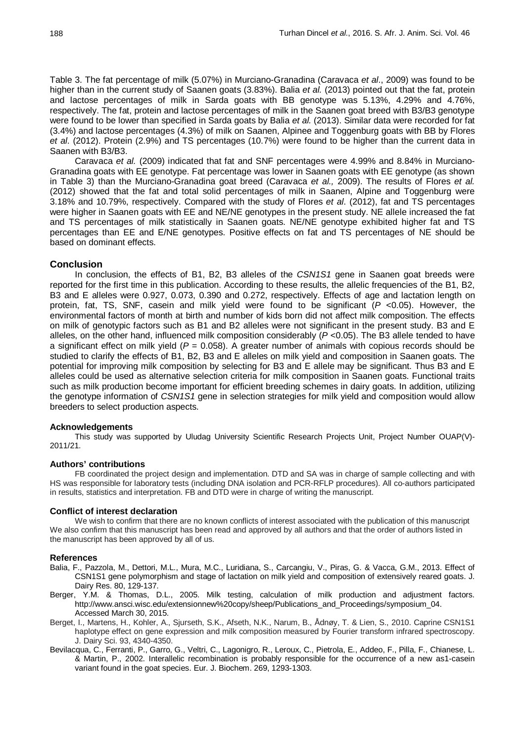Table 3. The fat percentage of milk (5.07%) in Murciano-Granadina (Caravaca *et al*., 2009) was found to be higher than in the current study of Saanen goats (3.83%). Balia *et al.* (2013) pointed out that the fat, protein and lactose percentages of milk in Sarda goats with BB genotype was 5.13%, 4.29% and 4.76%, respectively. The fat, protein and lactose percentages of milk in the Saanen goat breed with B3/B3 genotype were found to be lower than specified in Sarda goats by Balia *et al.* (2013). Similar data were recorded for fat (3.4%) and lactose percentages (4.3%) of milk on Saanen, Alpinee and Toggenburg goats with BB by Flores *et al*. (2012). Protein (2.9%) and TS percentages (10.7%) were found to be higher than the current data in Saanen with B3/B3.

Caravaca *et al.* (2009) indicated that fat and SNF percentages were 4.99% and 8.84% in Murciano-Granadina goats with EE genotype. Fat percentage was lower in Saanen goats with EE genotype (as shown in Table 3) than the Murciano-Granadina goat breed (Caravaca *et al.,* 2009). The results of Flores *et al.* (2012) showed that the fat and total solid percentages of milk in Saanen, Alpine and Toggenburg were 3.18% and 10.79%, respectively. Compared with the study of Flores *et al*. (2012), fat and TS percentages were higher in Saanen goats with EE and NE/NE genotypes in the present study. NE allele increased the fat and TS percentages of milk statistically in Saanen goats. NE/NE genotype exhibited higher fat and TS percentages than EE and E/NE genotypes. Positive effects on fat and TS percentages of NE should be based on dominant effects.

## **Conclusion**

In conclusion, the effects of B1, B2, B3 alleles of the *CSN1S1* gene in Saanen goat breeds were reported for the first time in this publication. According to these results, the allelic frequencies of the B1, B2, B3 and E alleles were 0.927, 0.073, 0.390 and 0.272, respectively. Effects of age and lactation length on protein, fat, TS, SNF, casein and milk yield were found to be significant (*P* <0.05). However, the environmental factors of month at birth and number of kids born did not affect milk composition. The effects on milk of genotypic factors such as B1 and B2 alleles were not significant in the present study. B3 and E alleles, on the other hand, influenced milk composition considerably (*P* <0.05). The B3 allele tended to have a significant effect on milk yield  $(P = 0.058)$ . A greater number of animals with copious records should be studied to clarify the effects of B1, B2, B3 and E alleles on milk yield and composition in Saanen goats. The potential for improving milk composition by selecting for B3 and E allele may be significant. Thus B3 and E alleles could be used as alternative selection criteria for milk composition in Saanen goats. Functional traits such as milk production become important for efficient breeding schemes in dairy goats. In addition, utilizing the genotype information of *CSN1S1* gene in selection strategies for milk yield and composition would allow breeders to select production aspects.

### **Acknowledgements**

This study was supported by Uludag University Scientific Research Projects Unit, Project Number OUAP(V)-2011/21.

### **Authors' contributions**

FB coordinated the project design and implementation. DTD and SA was in charge of sample collecting and with HS was responsible for laboratory tests (including DNA isolation and PCR-RFLP procedures). All co-authors participated in results, statistics and interpretation. FB and DTD were in charge of writing the manuscript.

#### **Conflict of interest declaration**

We wish to confirm that there are no known conflicts of interest associated with the publication of this manuscript We also confirm that this manuscript has been read and approved by all authors and that the order of authors listed in the manuscript has been approved by all of us.

#### **References**

- Balia, F., Pazzola, M., Dettori, M.L., Mura, M.C., Luridiana, S., Carcangiu, V., Piras, G. & Vacca, G.M., 2013. Effect of CSN1S1 gene polymorphism and stage of lactation on milk yield and composition of extensively reared goats. J. Dairy Res. 80, 129-137.
- Berger, Y.M. & Thomas, D.L., 2005. Milk testing, calculation of milk production and adjustment factors. [http://www.ansci.wisc.edu/extensionnew%20copy/sheep/Publications\\_and\\_Proceedings/symposium\\_04.](http://www.ansci.wisc.edu/extensionnew%20copy/sheep/Publications_and_Proceedings/symposium_04.%20Accessed%20March%2030)  [Accessed March 30,](http://www.ansci.wisc.edu/extensionnew%20copy/sheep/Publications_and_Proceedings/symposium_04.%20Accessed%20March%2030) 2015.
- Berget, I., Martens, H., Kohler, A., Sjurseth, S.K., Afseth, N.K., Narum, B., Ådnøy, T. & Lien, S., 2010. Caprine CSN1S1 haplotype effect on gene expression and milk composition measured by Fourier transform infrared spectroscopy. J. Dairy Sci. 93, 4340-4350.
- Bevilacqua, C., Ferranti, P., Garro, G., Veltri, C., Lagonigro, R., Leroux, C., Pietrola, E., Addeo, F., Pilla, F., Chianese, L. & Martin, P., 2002. Interallelic recombination is probably responsible for the occurrence of a new as1-casein variant found in the goat species. Eur. J. Biochem. 269, 1293-1303.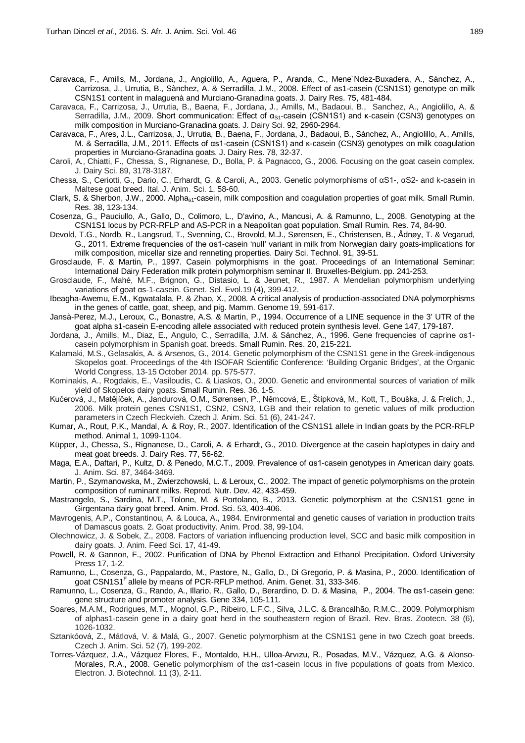Caravaca, F., Amills, M., Jordana, J., Angiolillo, A., Aguera, P., Aranda, C., Mene´Ndez-Buxadera, A., Sànchez, A., Carrizosa, J., Urrutia, B., Sànchez, A. & Serradilla, J.M., 2008. Effect of as1-casein (CSN1S1) genotype on milk CSN1S1 content in malaguenà and Murciano-Granadina goats. J. Dairy Res. 75, 481-484.

Caravaca, F., Carrizosa, J., Urrutia, B., Baena, F., Jordana, J., Amills, M., Badaoui, B., Sanchez, A., Angiolillo, A. & Serradilla, J.M., 2009. Short communication: Effect of  $\alpha_{S1}$ -casein (CSN1S1) and κ-casein (CSN3) genotypes on milk composition in Murciano-Granadina goats. J. Dairy Sci. 92, 2960-2964.

Caravaca, F., Ares, J.L., Carrizosa, J., Urrutia, B., Baena, F., Jordana, J., Badaoui, B., Sànchez, A., Angiolillo, A., Amills, M. & Serradilla, J.M., 2011. Effects of αs1-casein (CSN1S1) and κ-casein (CSN3) genotypes on milk coagulation properties in Murciano-Granadina goats. J. Dairy Res. 78, 32-37.

Caroli, A., Chiatti, F., Chessa, S., Rignanese, D., Bolla, P. & Pagnacco, G., 2006. Focusing on the goat casein complex. J. Dairy Sci. 89, 3178-3187.

Chessa, S., Ceriotti, G., Dario, C., Erhardt, G. & Caroli, A., 2003. Genetic polymorphisms of αS1-, αS2- and k-casein in Maltese goat breed. Ital. J. Anim. Sci. 1, 58-60.

Clark, S. & Sherbon, J.W., 2000. Alpha<sub>s1</sub>-casein, milk composition and coagulation properties of goat milk. Small Rumin. Res. 38, 123-134.

Cosenza, G., Pauciullo, A., Gallo, D., Colimoro, L., D'avino, A., Mancusi, A. & Ramunno, L., 2008. Genotyping at the CSN1S1 locus by PCR-RFLP and AS-PCR in a Neapolitan goat population. Small Rumin. Res. 74, 84-90.

Devold, T.G., Nordb, R., Langsrud, T., Svenning, C., Brovold, M.J., Sørensen, E., Christensen, B., Ådnøy, T. & Vegarud, G., 2011. Extreme frequencies of the αs1-casein 'null' variant in milk from Norwegian dairy goats-implications for milk composition, micellar size and renneting properties. Dairy Sci. Technol. 91, 39-51.

Grosclaude, F. & Martin, P., 1997. Casein polymorphisms in the goat. Proceedings of an International Seminar: International Dairy Federation milk protein polymorphism seminar II. Bruxelles-Belgium. pp. 241-253.

Grosclaude, F., Mahé, M.F., Brignon, G., Distasio, L. & Jeunet, R., 1987. A Mendelian polymorphism underlying variations of goat αs-1-casein. Genet. Sel. Evol.19 (4), 399-412.

Ibeagha-Awemu, E.M., Kgwatalala, P. & Zhao, X., 2008. A critical analysis of production-associated DNA polymorphisms in the genes of cattle, goat, sheep, and pig. Mamm. Genome 19, 591-617.

Jansà-Perez, M.J., Leroux, C., Bonastre, A.S. & Martin, P., 1994. Occurrence of a LINE sequence in the 3' UTR of the goat alpha s1-casein E-encoding allele associated with reduced protein synthesis level. Gene 147, 179-187.

Jordana, J., Amills, M., Diaz, E., Angulo, C., Serradilla, J.M. & Sánchez, A., 1996. Gene frequencies of caprine αs1 casein polymorphism in Spanish goat. breeds. Small Rumin. Res. 20, 215-221.

Kalamaki, M.S., Gelasakis, A. & Arsenos, G., 2014. Genetic polymorphism of the CSN1S1 gene in the Greek-indigenous Skopelos goat. Proceedings of the 4th ISOFAR Scientific Conference: 'Building Organic Bridges', at the Organic World Congress, 13-15 October 2014. pp. 575-577.

Kominakis, A., Rogdakis, E., Vasiloudis, C. & Liaskos, O., 2000. Genetic and environmental sources of variation of milk yield of Skopelos dairy goats. Small Rumin. Res. 36, 1-5.

Kučerová, J., Matějíček, A., Jandurová, O.M., Sørensen, P., Němcová, E., Štípková, M., Kott, T., Bouška, J. & Frelich, J., 2006. Milk protein genes CSN1S1, CSN2, CSN3, LGB and their relation to genetic values of milk production parameters in Czech Fleckvieh. Czech J. Anim. Sci. 51 (6), 241-247.

Kumar, A., Rout, P.K., Mandal, A. & Roy, R., 2007. Identification of the CSN1S1 allele in Indian goats by the PCR-RFLP method. Animal 1, 1099-1104.

Küpper, J., Chessa, S., Rignanese, D., Caroli, A. & Erhardt, G., 2010. Divergence at the casein haplotypes in dairy and meat goat breeds. J. Dairy Res. 77, 56-62.

Maga, E.A., Daftari, P., Kultz, D. & Penedo, M.C.T., 2009. Prevalence of αs1-casein genotypes in American dairy goats. J. Anim. Sci. 87, 3464-3469.

Martin, P., Szymanowska, M., Zwierzchowski, L. & Leroux, C., 2002. The impact of genetic polymorphisms on the protein composition of ruminant milks. Reprod. Nutr. Dev. 42, 433-459.

Mastrangelo, S., Sardina, M.T., Tolone, M. & Portolano, B., 2013. Genetic polymorphism at the CSN1S1 gene in Girgentana dairy goat breed. Anim. Prod. Sci. 53, 403-406.

Mavrogenis, A.P., Constantinou, A. & Louca, A., 1984. Environmental and genetic causes of variation in production traits of Damascus goats. 2. Goat productivity. Anim. Prod. 38, 99-104.

Olechnowicz, J. & Sobek, Z., 2008. Factors of variation influencing production level, SCC and basic milk composition in dairy goats. J. Anim. Feed Sci. 17, 41-49.

Powell, R. & Gannon, F., 2002. Purification of DNA by Phenol Extraction and Ethanol Precipitation. Oxford University Press 17, 1-2.

Ramunno, L., Cosenza, G., Pappalardo, M., Pastore, N., Gallo, D., Di Gregorio, P. & Masina, P., 2000. Identification of goat CSN1S1<sup>F</sup> allele by means of PCR-RFLP method. Anim. Genet. 31, 333-346.

Ramunno, L., Cosenza, G., Rando, A., Illario, R., Gallo, D., Berardino, D. D. & Masina, P., 2004. The αs1-casein gene: gene structure and promoter analysis. Gene 334, 105-111.

Soares, M.A.M., Rodrigues, M.T., Mognol, G.P., Ribeiro, L.F.C., Silva, J.L.C. & Brancalhão, R.M.C., 2009. Polymorphism of alphas1-casein gene in a dairy goat herd in the southeastern region of Brazil. Rev. Bras. Zootecn. 38 (6), 1026-1032.

Sztankóová, Z., Mátlová, V. & Malá, G., 2007. Genetic polymorphism at the CSN1S1 gene in two Czech goat breeds. Czech J. Anim. Sci. 52 (7), 199-202.

Torres-Vázquez, J.A., Vázquez Flores, F., Montaldo, H.H., Ulloa-Arvızu, R., Posadas, M.V., Vázquez, A.G. & Alonso-Morales, R.A., 2008. Genetic polymorphism of the αs1-casein locus in five populations of goats from Mexico. Electron. J. Biotechnol. 11 (3), 2-11.